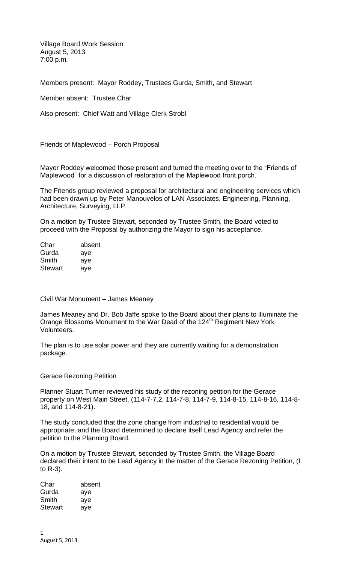Village Board Work Session August 5, 2013 7:00 p.m.

Members present: Mayor Roddey, Trustees Gurda, Smith, and Stewart

Member absent: Trustee Char

Also present: Chief Watt and Village Clerk Strobl

Friends of Maplewood – Porch Proposal

Mayor Roddey welcomed those present and turned the meeting over to the "Friends of Maplewood" for a discussion of restoration of the Maplewood front porch.

The Friends group reviewed a proposal for architectural and engineering services which had been drawn up by Peter Manouvelos of LAN Associates, Engineering, Planning, Architecture, Surveying, LLP.

On a motion by Trustee Stewart, seconded by Trustee Smith, the Board voted to proceed with the Proposal by authorizing the Mayor to sign his acceptance.

| Char    | absent |
|---------|--------|
| Gurda   | aye    |
| Smith   | aye    |
| Stewart | aye    |

Civil War Monument – James Meaney

James Meaney and Dr. Bob Jaffe spoke to the Board about their plans to illuminate the Orange Blossoms Monument to the War Dead of the 124<sup>th</sup> Regiment New York Volunteers.

The plan is to use solar power and they are currently waiting for a demonstration package.

Gerace Rezoning Petition

Planner Stuart Turner reviewed his study of the rezoning petition for the Gerace property on West Main Street, (114-7-7.2, 114-7-8, 114-7-9, 114-8-15, 114-8-16, 114-8- 18, and 114-8-21).

The study concluded that the zone change from industrial to residential would be appropriate, and the Board determined to declare itself Lead Agency and refer the petition to the Planning Board.

On a motion by Trustee Stewart, seconded by Trustee Smith, the Village Board declared their intent to be Lead Agency in the matter of the Gerace Rezoning Petition, (I to R-3).

Char absent Gurda aye Smith aye Stewart aye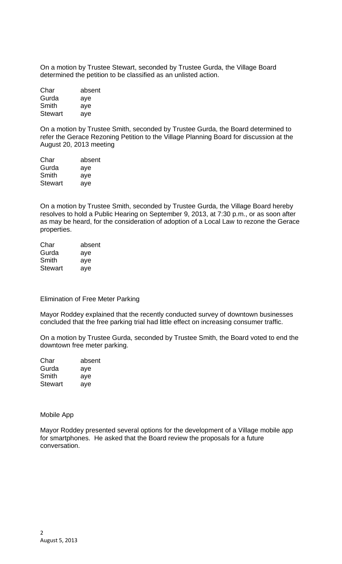On a motion by Trustee Stewart, seconded by Trustee Gurda, the Village Board determined the petition to be classified as an unlisted action.

| Char           | absent |
|----------------|--------|
| Gurda          | aye    |
| Smith          | aye    |
| <b>Stewart</b> | aye    |

On a motion by Trustee Smith, seconded by Trustee Gurda, the Board determined to refer the Gerace Rezoning Petition to the Village Planning Board for discussion at the August 20, 2013 meeting

| absent |
|--------|
| aye    |
| aye    |
| aye    |
|        |

On a motion by Trustee Smith, seconded by Trustee Gurda, the Village Board hereby resolves to hold a Public Hearing on September 9, 2013, at 7:30 p.m., or as soon after as may be heard, for the consideration of adoption of a Local Law to rezone the Gerace properties.

| Char    | absent |
|---------|--------|
| Gurda   | aye    |
| Smith   | aye    |
| Stewart | aye    |

Elimination of Free Meter Parking

Mayor Roddey explained that the recently conducted survey of downtown businesses concluded that the free parking trial had little effect on increasing consumer traffic.

On a motion by Trustee Gurda, seconded by Trustee Smith, the Board voted to end the downtown free meter parking.

| Char           | absent |
|----------------|--------|
| Gurda          | aye    |
| Smith          | aye    |
| <b>Stewart</b> | aye    |

Mobile App

Mayor Roddey presented several options for the development of a Village mobile app for smartphones. He asked that the Board review the proposals for a future conversation.